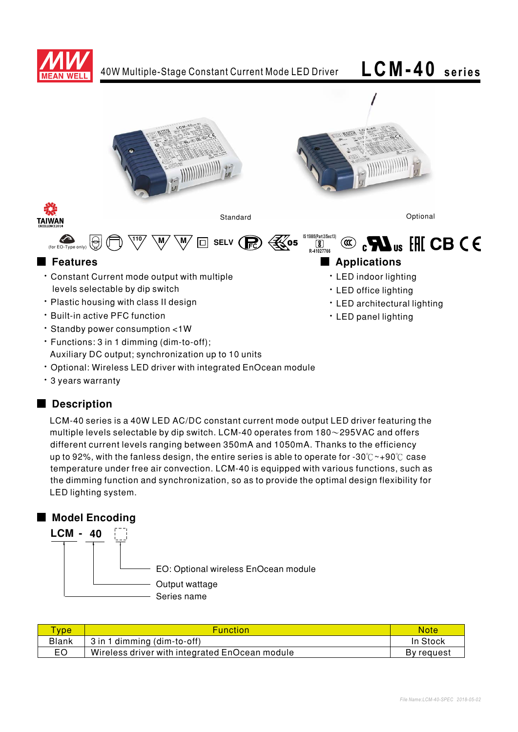



- Optional: Wireless LED driver with integrated EnOcean module
- 3 years warranty

## ■ Description

LCM-40 series is a 40W LED AC/DC constant current mode output LED driver featuring the multiple levels selectable by dip switch. LCM-40 operates from  $180 \sim 295$ VAC and offers different current levels ranging between 350mA and 1050mA. Thanks to the efficiency up to 92%, with the fanless design, the entire series is able to operate for -30°C ~+90°C case temperature under free air convection. LCM-40 is equipped with various functions, such as the dimming function and synchronization, so as to provide the optimal design flexibility for LED lighting system.

## ■ Model Encoding



| <b>vpe</b>   | <b>Function</b>                                | <b>Note</b> |
|--------------|------------------------------------------------|-------------|
| <b>Blank</b> | 3 in 1 dimming (dim-to-off)                    | In Stock    |
| EO           | Wireless driver with integrated EnOcean module | By request  |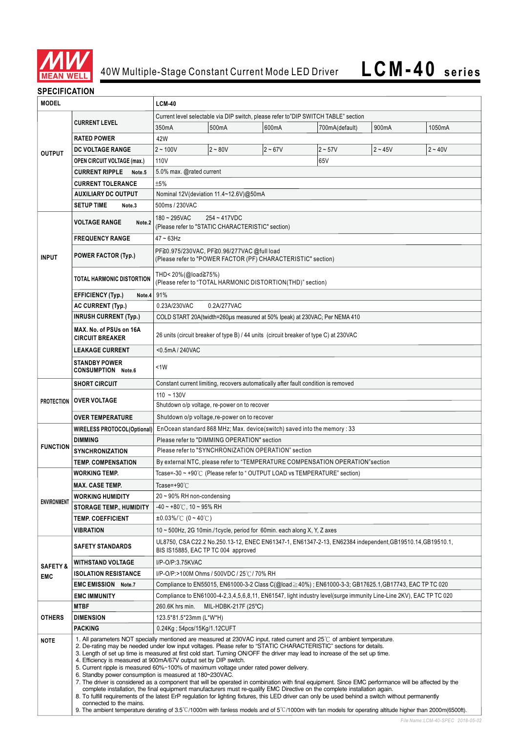

## **SPECIFICATION**

| <b>MODEL</b>        |                                                                                                                                                                                                                                                                                                                                                                                                                                                                                                                                                                                                                                                                                                                                                                                                                                                                                                                                                                                                                                                                                                                                                                                                                                                                                                               | <b>LCM-40</b>                                                                                                                                    |                                                                                       |           |                                                                                                       |           |           |
|---------------------|---------------------------------------------------------------------------------------------------------------------------------------------------------------------------------------------------------------------------------------------------------------------------------------------------------------------------------------------------------------------------------------------------------------------------------------------------------------------------------------------------------------------------------------------------------------------------------------------------------------------------------------------------------------------------------------------------------------------------------------------------------------------------------------------------------------------------------------------------------------------------------------------------------------------------------------------------------------------------------------------------------------------------------------------------------------------------------------------------------------------------------------------------------------------------------------------------------------------------------------------------------------------------------------------------------------|--------------------------------------------------------------------------------------------------------------------------------------------------|---------------------------------------------------------------------------------------|-----------|-------------------------------------------------------------------------------------------------------|-----------|-----------|
|                     |                                                                                                                                                                                                                                                                                                                                                                                                                                                                                                                                                                                                                                                                                                                                                                                                                                                                                                                                                                                                                                                                                                                                                                                                                                                                                                               | Current level selectable via DIP switch, please refer to"DIP SWITCH TABLE" section                                                               |                                                                                       |           |                                                                                                       |           |           |
|                     | <b>CURRENT LEVEL</b>                                                                                                                                                                                                                                                                                                                                                                                                                                                                                                                                                                                                                                                                                                                                                                                                                                                                                                                                                                                                                                                                                                                                                                                                                                                                                          | 350mA                                                                                                                                            | 500mA                                                                                 | 600mA     | 700mA(default)                                                                                        | 900mA     | 1050mA    |
|                     | <b>RATED POWER</b>                                                                                                                                                                                                                                                                                                                                                                                                                                                                                                                                                                                                                                                                                                                                                                                                                                                                                                                                                                                                                                                                                                                                                                                                                                                                                            | 42W                                                                                                                                              |                                                                                       |           |                                                                                                       |           |           |
| <b>OUTPUT</b>       | <b>DC VOLTAGE RANGE</b>                                                                                                                                                                                                                                                                                                                                                                                                                                                                                                                                                                                                                                                                                                                                                                                                                                                                                                                                                                                                                                                                                                                                                                                                                                                                                       | $2 - 100V$                                                                                                                                       | $2 - 80V$                                                                             | $2 - 67V$ | $2 - 57V$                                                                                             | $2 - 45V$ | $2 - 40V$ |
|                     | <b>OPEN CIRCUIT VOLTAGE (max.)</b>                                                                                                                                                                                                                                                                                                                                                                                                                                                                                                                                                                                                                                                                                                                                                                                                                                                                                                                                                                                                                                                                                                                                                                                                                                                                            | 110V                                                                                                                                             |                                                                                       |           | 65V                                                                                                   |           |           |
|                     | <b>CURRENT RIPPLE</b><br>Note <sub>.5</sub>                                                                                                                                                                                                                                                                                                                                                                                                                                                                                                                                                                                                                                                                                                                                                                                                                                                                                                                                                                                                                                                                                                                                                                                                                                                                   | 5.0% max. @rated current                                                                                                                         |                                                                                       |           |                                                                                                       |           |           |
|                     | <b>CURRENT TOLERANCE</b>                                                                                                                                                                                                                                                                                                                                                                                                                                                                                                                                                                                                                                                                                                                                                                                                                                                                                                                                                                                                                                                                                                                                                                                                                                                                                      | ±5%                                                                                                                                              |                                                                                       |           |                                                                                                       |           |           |
|                     | <b>AUXILIARY DC OUTPUT</b>                                                                                                                                                                                                                                                                                                                                                                                                                                                                                                                                                                                                                                                                                                                                                                                                                                                                                                                                                                                                                                                                                                                                                                                                                                                                                    | Nominal 12V (deviation 11.4~12.6V)@50mA                                                                                                          |                                                                                       |           |                                                                                                       |           |           |
|                     | <b>SETUP TIME</b><br>Note.3                                                                                                                                                                                                                                                                                                                                                                                                                                                                                                                                                                                                                                                                                                                                                                                                                                                                                                                                                                                                                                                                                                                                                                                                                                                                                   | 500ms / 230VAC                                                                                                                                   |                                                                                       |           |                                                                                                       |           |           |
|                     | <b>VOLTAGE RANGE</b><br>Note.2                                                                                                                                                                                                                                                                                                                                                                                                                                                                                                                                                                                                                                                                                                                                                                                                                                                                                                                                                                                                                                                                                                                                                                                                                                                                                | $180 - 295$ VAC<br>254~417VDC<br>(Please refer to "STATIC CHARACTERISTIC" section)                                                               |                                                                                       |           |                                                                                                       |           |           |
|                     | <b>FREQUENCY RANGE</b>                                                                                                                                                                                                                                                                                                                                                                                                                                                                                                                                                                                                                                                                                                                                                                                                                                                                                                                                                                                                                                                                                                                                                                                                                                                                                        | $47 - 63$ Hz                                                                                                                                     |                                                                                       |           |                                                                                                       |           |           |
| <b>INPUT</b>        | <b>POWER FACTOR (Typ.)</b>                                                                                                                                                                                                                                                                                                                                                                                                                                                                                                                                                                                                                                                                                                                                                                                                                                                                                                                                                                                                                                                                                                                                                                                                                                                                                    | PF≧0.975/230VAC, PF≧0.96/277VAC @full load<br>(Please refer to "POWER FACTOR (PF) CHARACTERISTIC" section)                                       |                                                                                       |           |                                                                                                       |           |           |
|                     | <b>TOTAL HARMONIC DISTORTION</b>                                                                                                                                                                                                                                                                                                                                                                                                                                                                                                                                                                                                                                                                                                                                                                                                                                                                                                                                                                                                                                                                                                                                                                                                                                                                              | THD< 20%(@load≧75%)<br>(Please refer to "TOTAL HARMONIC DISTORTION(THD)" section)                                                                |                                                                                       |           |                                                                                                       |           |           |
|                     | <b>EFFICIENCY (Typ.)</b><br>Note.4                                                                                                                                                                                                                                                                                                                                                                                                                                                                                                                                                                                                                                                                                                                                                                                                                                                                                                                                                                                                                                                                                                                                                                                                                                                                            | 91%                                                                                                                                              |                                                                                       |           |                                                                                                       |           |           |
|                     | <b>AC CURRENT (Typ.)</b>                                                                                                                                                                                                                                                                                                                                                                                                                                                                                                                                                                                                                                                                                                                                                                                                                                                                                                                                                                                                                                                                                                                                                                                                                                                                                      | 0.23A/230VAC                                                                                                                                     | 0.2A/277VAC                                                                           |           |                                                                                                       |           |           |
|                     | <b>INRUSH CURRENT (Typ.)</b>                                                                                                                                                                                                                                                                                                                                                                                                                                                                                                                                                                                                                                                                                                                                                                                                                                                                                                                                                                                                                                                                                                                                                                                                                                                                                  |                                                                                                                                                  |                                                                                       |           | COLD START 20A(twidth=260µs measured at 50% Ipeak) at 230VAC; Per NEMA 410                            |           |           |
|                     | MAX. No. of PSUs on 16A<br><b>CIRCUIT BREAKER</b>                                                                                                                                                                                                                                                                                                                                                                                                                                                                                                                                                                                                                                                                                                                                                                                                                                                                                                                                                                                                                                                                                                                                                                                                                                                             |                                                                                                                                                  | 26 units (circuit breaker of type B) / 44 units (circuit breaker of type C) at 230VAC |           |                                                                                                       |           |           |
|                     | <b>LEAKAGE CURRENT</b>                                                                                                                                                                                                                                                                                                                                                                                                                                                                                                                                                                                                                                                                                                                                                                                                                                                                                                                                                                                                                                                                                                                                                                                                                                                                                        | <0.5mA / 240VAC                                                                                                                                  |                                                                                       |           |                                                                                                       |           |           |
|                     | <b>STANDBY POWER</b><br><b>CONSUMPTION Note.6</b>                                                                                                                                                                                                                                                                                                                                                                                                                                                                                                                                                                                                                                                                                                                                                                                                                                                                                                                                                                                                                                                                                                                                                                                                                                                             | <1W                                                                                                                                              |                                                                                       |           |                                                                                                       |           |           |
|                     | <b>SHORT CIRCUIT</b>                                                                                                                                                                                                                                                                                                                                                                                                                                                                                                                                                                                                                                                                                                                                                                                                                                                                                                                                                                                                                                                                                                                                                                                                                                                                                          | Constant current limiting, recovers automatically after fault condition is removed                                                               |                                                                                       |           |                                                                                                       |           |           |
|                     |                                                                                                                                                                                                                                                                                                                                                                                                                                                                                                                                                                                                                                                                                                                                                                                                                                                                                                                                                                                                                                                                                                                                                                                                                                                                                                               | $110 - 130V$                                                                                                                                     |                                                                                       |           |                                                                                                       |           |           |
| <b>PROTECTION</b>   | <b>OVER VOLTAGE</b>                                                                                                                                                                                                                                                                                                                                                                                                                                                                                                                                                                                                                                                                                                                                                                                                                                                                                                                                                                                                                                                                                                                                                                                                                                                                                           |                                                                                                                                                  | Shutdown o/p voltage, re-power on to recover                                          |           |                                                                                                       |           |           |
|                     | <b>OVER TEMPERATURE</b>                                                                                                                                                                                                                                                                                                                                                                                                                                                                                                                                                                                                                                                                                                                                                                                                                                                                                                                                                                                                                                                                                                                                                                                                                                                                                       | Shutdown o/p voltage, re-power on to recover                                                                                                     |                                                                                       |           |                                                                                                       |           |           |
|                     | <b>WIRELESS PROTOCOL(Optional)</b>                                                                                                                                                                                                                                                                                                                                                                                                                                                                                                                                                                                                                                                                                                                                                                                                                                                                                                                                                                                                                                                                                                                                                                                                                                                                            | EnOcean standard 868 MHz; Max. device(switch) saved into the memory : 33                                                                         |                                                                                       |           |                                                                                                       |           |           |
|                     | <b>DIMMING</b>                                                                                                                                                                                                                                                                                                                                                                                                                                                                                                                                                                                                                                                                                                                                                                                                                                                                                                                                                                                                                                                                                                                                                                                                                                                                                                | Please refer to "DIMMING OPERATION" section                                                                                                      |                                                                                       |           |                                                                                                       |           |           |
| <b>FUNCTION</b>     | <b>SYNCHRONIZATION</b>                                                                                                                                                                                                                                                                                                                                                                                                                                                                                                                                                                                                                                                                                                                                                                                                                                                                                                                                                                                                                                                                                                                                                                                                                                                                                        | Please refer to "SYNCHRONIZATION OPERATION" section                                                                                              |                                                                                       |           |                                                                                                       |           |           |
|                     | <b>TEMP. COMPENSATION</b>                                                                                                                                                                                                                                                                                                                                                                                                                                                                                                                                                                                                                                                                                                                                                                                                                                                                                                                                                                                                                                                                                                                                                                                                                                                                                     |                                                                                                                                                  |                                                                                       |           | By external NTC, please refer to "TEMPERATURE COMPENSATION OPERATION" section                         |           |           |
|                     | <b>WORKING TEMP.</b>                                                                                                                                                                                                                                                                                                                                                                                                                                                                                                                                                                                                                                                                                                                                                                                                                                                                                                                                                                                                                                                                                                                                                                                                                                                                                          | Tcase=-30 ~ +90℃ (Please refer to "OUTPUT LOAD vs TEMPERATURE" section)                                                                          |                                                                                       |           |                                                                                                       |           |           |
|                     | <b>MAX. CASE TEMP.</b>                                                                                                                                                                                                                                                                                                                                                                                                                                                                                                                                                                                                                                                                                                                                                                                                                                                                                                                                                                                                                                                                                                                                                                                                                                                                                        | Tcase=+90 $°C$                                                                                                                                   |                                                                                       |           |                                                                                                       |           |           |
| <b>ENVIRONMENT</b>  | <b>WORKING HUMIDITY</b>                                                                                                                                                                                                                                                                                                                                                                                                                                                                                                                                                                                                                                                                                                                                                                                                                                                                                                                                                                                                                                                                                                                                                                                                                                                                                       | $20 \sim 90\%$ RH non-condensing                                                                                                                 |                                                                                       |           |                                                                                                       |           |           |
|                     | <b>STORAGE TEMP., HUMIDITY</b>                                                                                                                                                                                                                                                                                                                                                                                                                                                                                                                                                                                                                                                                                                                                                                                                                                                                                                                                                                                                                                                                                                                                                                                                                                                                                | $-40 \sim +80^{\circ}$ C, 10 ~ 95% RH                                                                                                            |                                                                                       |           |                                                                                                       |           |           |
|                     | <b>TEMP. COEFFICIENT</b>                                                                                                                                                                                                                                                                                                                                                                                                                                                                                                                                                                                                                                                                                                                                                                                                                                                                                                                                                                                                                                                                                                                                                                                                                                                                                      | $\pm 0.03\%$ /°C (0 ~ 40°C)                                                                                                                      |                                                                                       |           |                                                                                                       |           |           |
|                     | <b>VIBRATION</b>                                                                                                                                                                                                                                                                                                                                                                                                                                                                                                                                                                                                                                                                                                                                                                                                                                                                                                                                                                                                                                                                                                                                                                                                                                                                                              | 10 $\sim$ 500Hz, 2G 10min./1cycle, period for 60min. each along X, Y, Z axes                                                                     |                                                                                       |           |                                                                                                       |           |           |
|                     | <b>SAFETY STANDARDS</b>                                                                                                                                                                                                                                                                                                                                                                                                                                                                                                                                                                                                                                                                                                                                                                                                                                                                                                                                                                                                                                                                                                                                                                                                                                                                                       | UL8750, CSA C22.2 No.250.13-12, ENEC EN61347-1, EN61347-2-13, EN62384 independent, GB19510.14, GB19510.1,<br>BIS IS15885, EAC TP TC 004 approved |                                                                                       |           |                                                                                                       |           |           |
| <b>SAFETY &amp;</b> | <b>WITHSTAND VOLTAGE</b>                                                                                                                                                                                                                                                                                                                                                                                                                                                                                                                                                                                                                                                                                                                                                                                                                                                                                                                                                                                                                                                                                                                                                                                                                                                                                      | I/P-O/P:3.75KVAC                                                                                                                                 |                                                                                       |           |                                                                                                       |           |           |
| <b>EMC</b>          | <b>ISOLATION RESISTANCE</b>                                                                                                                                                                                                                                                                                                                                                                                                                                                                                                                                                                                                                                                                                                                                                                                                                                                                                                                                                                                                                                                                                                                                                                                                                                                                                   |                                                                                                                                                  | I/P-O/P:>100M Ohms / 500VDC / 25℃/ 70% RH                                             |           |                                                                                                       |           |           |
|                     | <b>EMC EMISSION Note.7</b>                                                                                                                                                                                                                                                                                                                                                                                                                                                                                                                                                                                                                                                                                                                                                                                                                                                                                                                                                                                                                                                                                                                                                                                                                                                                                    |                                                                                                                                                  |                                                                                       |           | Compliance to EN55015, EN61000-3-2 Class C(@load≥40%) ; EN61000-3-3; GB17625.1,GB17743, EAC TP TC 020 |           |           |
|                     | <b>EMC IMMUNITY</b>                                                                                                                                                                                                                                                                                                                                                                                                                                                                                                                                                                                                                                                                                                                                                                                                                                                                                                                                                                                                                                                                                                                                                                                                                                                                                           | Compliance to EN61000-4-2,3,4,5,6,8,11, EN61547, light industry level(surge immunity Line-Line 2KV), EAC TP TC 020                               |                                                                                       |           |                                                                                                       |           |           |
|                     | <b>MTBF</b>                                                                                                                                                                                                                                                                                                                                                                                                                                                                                                                                                                                                                                                                                                                                                                                                                                                                                                                                                                                                                                                                                                                                                                                                                                                                                                   | 260.6K hrs min.                                                                                                                                  | MIL-HDBK-217F $(25^{\circ}C)$                                                         |           |                                                                                                       |           |           |
| <b>OTHERS</b>       | <b>DIMENSION</b>                                                                                                                                                                                                                                                                                                                                                                                                                                                                                                                                                                                                                                                                                                                                                                                                                                                                                                                                                                                                                                                                                                                                                                                                                                                                                              | 123.5*81.5*23mm (L*W*H)                                                                                                                          |                                                                                       |           |                                                                                                       |           |           |
| <b>NOTE</b>         | <b>PACKING</b><br>0.24Kg; 54pcs/15Kg/1.12CUFT<br>1. All parameters NOT specially mentioned are measured at 230VAC input, rated current and 25°C of ambient temperature.<br>2. De-rating may be needed under low input voltages. Please refer to "STATIC CHARACTERISTIC" sections for details.<br>3. Length of set up time is measured at first cold start. Turning ON/OFF the driver may lead to increase of the set up time.<br>4. Efficiency is measured at 900mA/67V output set by DIP switch.<br>5. Current ripple is measured 60%~100% of maximum voltage under rated power delivery.<br>6. Standby power consumption is measured at 180~230VAC.<br>7. The driver is considered as a component that will be operated in combination with final equipment. Since EMC performance will be affected by the<br>complete installation, the final equipment manufacturers must re-qualify EMC Directive on the complete installation again.<br>8. To fulfill requirements of the latest ErP regulation for lighting fixtures, this LED driver can only be used behind a switch without permanently<br>connected to the mains.<br>9. The ambient temperature derating of $3.5^{\circ}$ C/1000m with fanless models and of $5^{\circ}$ C/1000m with fan models for operating altitude higher than 2000m(6500ft). |                                                                                                                                                  |                                                                                       |           |                                                                                                       |           |           |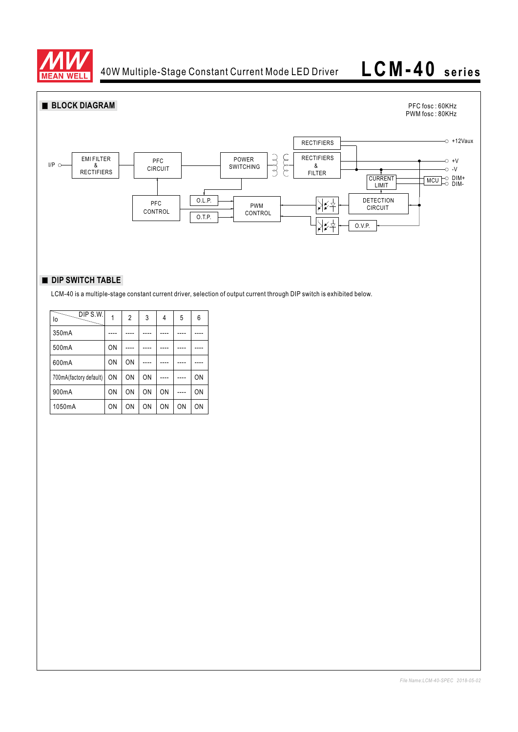

# **LCM-40 series**



## **DIP SWITCH TABLE**

LCM-40 is a multiple-stage constant current driver, selection of output current through DIP switch is exhibited below.

| DIP S.W.<br>lo         |           | $\overline{2}$ | 3  | 4         | 5  | 6  |
|------------------------|-----------|----------------|----|-----------|----|----|
| 350mA                  |           |                |    |           |    |    |
| 500mA                  | ON        |                |    |           |    |    |
| 600mA                  | ON        | ON             |    |           |    |    |
| 700mA(factory default) | ON        | ON             | ON |           |    | ON |
| 900mA                  | ON        | ON             | ON | ON        |    | ON |
| 1050mA                 | <b>ON</b> | 0 <sub>N</sub> | ON | <b>ON</b> | ON | ON |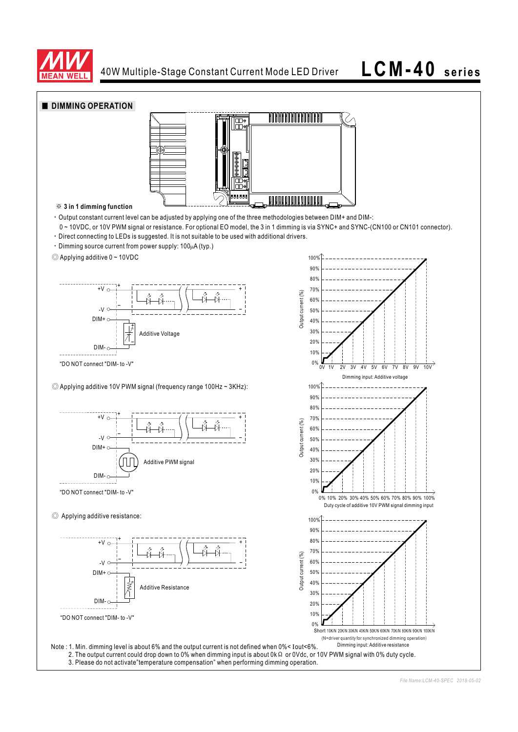

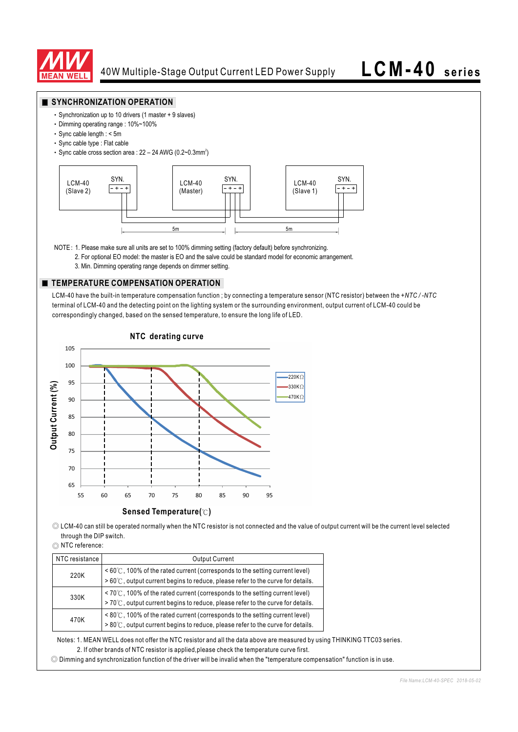

### **SYNCHRONIZATION OPERATION**

- Synchronization up to 10 drivers (1 master + 9 slaves)
- Dimming operating range : 10%~100%
- Sync cable length : < 5m
- Sync cable type : Flat cable
- Sync cable cross section area :  $22 24$  AWG (0.2~0.3mm<sup>2</sup>)



NOTE: 1. Please make sure all units are set to 100% dimming setting (factory default) before synchronizing.

- 2. For optional EO model: the master is EO and the salve could be standard model for economic arrangement.
- 3. Min. Dimming operating range depends on dimmer setting.

### **TEMPERATURE COMPENSATION OPERATION**

LCM-40 have the built-in temperature compensation function ; by connecting a temperature sensor (NTC resistor) between the *+NTC / -NTC* terminal of LCM-40 and the detecting point on the lighting system or the surrounding environment, output current of LCM-40 could be correspondingly changed, based on the sensed temperature, to ensure the long life of LED.



◎ LCM-40 can still be operated normally when the NTC resistor is not connected and the value of output current will be the current level selected through the DIP switch.

◎ NTC reference:

| NTC resistance | <b>Output Current</b>                                                                                                                                                                 |
|----------------|---------------------------------------------------------------------------------------------------------------------------------------------------------------------------------------|
| 220K           | $\leq 60^{\circ}$ C, 100% of the rated current (corresponds to the setting current level)<br>$>60^{\circ}$ C, output current begins to reduce, please refer to the curve for details. |
| 330K           | $\leq 70^{\circ}$ C, 100% of the rated current (corresponds to the setting current level)<br>>70℃, output current begins to reduce, please refer to the curve for details.            |
| 470K           | $\leq 80^{\circ}$ (C, 100% of the rated current (corresponds to the setting current level)<br>> 80℃, output current begins to reduce, please refer to the curve for details.          |

Notes: 1. MEAN WELL does not offer the NTC resistor and all the data above are measured by using THINKING TTC03 series. 2. If other brands of NTC resistor is applied,please check the temperature curve first.

◎ Dimming and synchronization function of the driver will be invalid when the "temperature compensation" function is in use.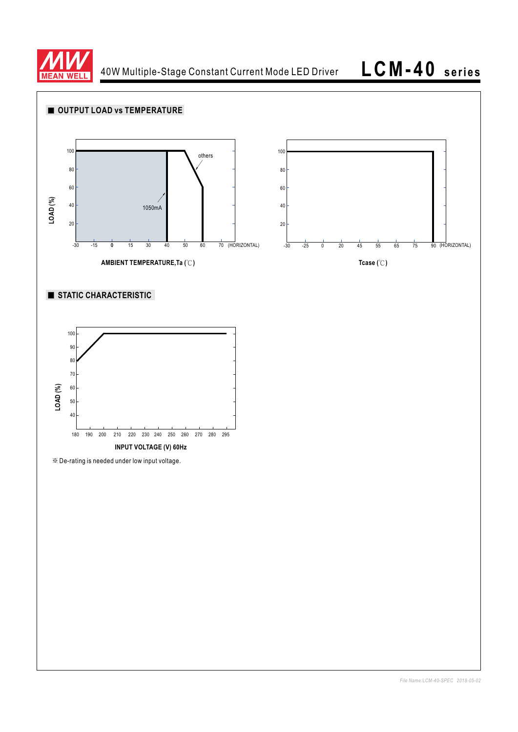

40W Multiple-Stage Constant Current Mode LED Driver

**LCM-40 series**

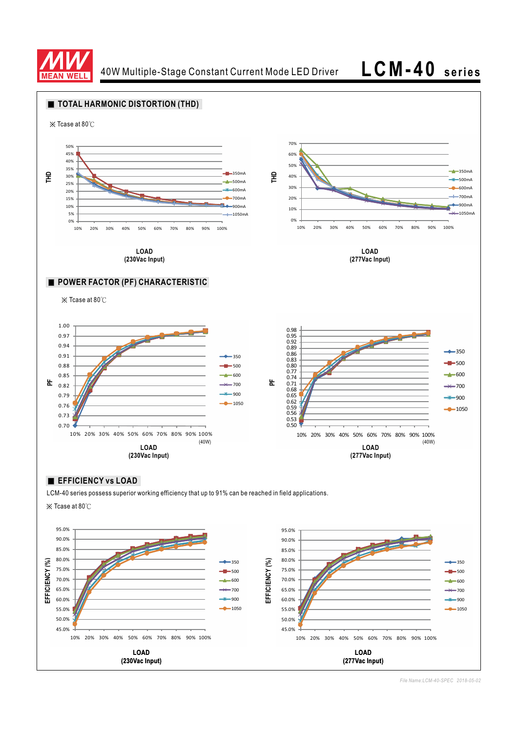

40W Multiple-Stage Constant Current Mode LED Driver **LCM-40 series**

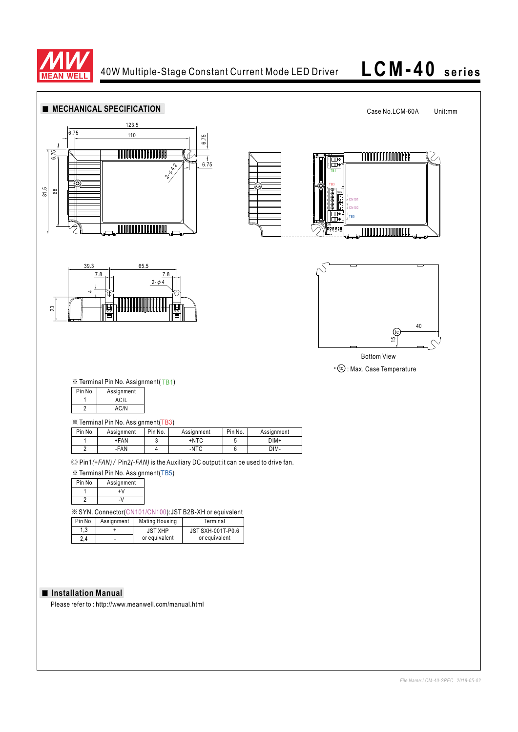

# **LCM-40 series**

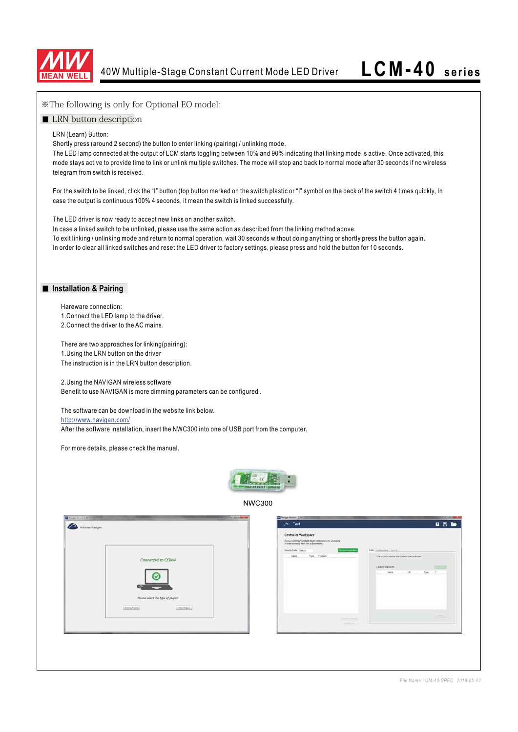

| *The following is only for Optional EO model:                                                                                                                                                                                                                                                                                                                                                                                                                              |  |  |  |  |  |
|----------------------------------------------------------------------------------------------------------------------------------------------------------------------------------------------------------------------------------------------------------------------------------------------------------------------------------------------------------------------------------------------------------------------------------------------------------------------------|--|--|--|--|--|
| ■ LRN button description                                                                                                                                                                                                                                                                                                                                                                                                                                                   |  |  |  |  |  |
| LRN (Learn) Button:<br>Shortly press (around 2 second) the button to enter linking (pairing) / unlinking mode.<br>The LED lamp connected at the output of LCM starts toggling between 10% and 90% indicating that linking mode is active. Once activated, this<br>mode stays active to provide time to link or unlink multiple switches. The mode will stop and back to normal mode after 30 seconds if no wireless<br>telegram from switch is received.                   |  |  |  |  |  |
| For the switch to be linked, click the "I" button (top button marked on the switch plastic or "I" symbol on the back of the switch 4 times quickly, In<br>case the output is continuous 100% 4 seconds, it mean the switch is linked successfully.                                                                                                                                                                                                                         |  |  |  |  |  |
| The LED driver is now ready to accept new links on another switch.<br>In case a linked switch to be unlinked, please use the same action as described from the linking method above.<br>To exit linking / unlinking mode and return to normal operation, wait 30 seconds without doing anything or shortly press the button again.<br>In order to clear all linked switches and reset the LED driver to factory settings, please press and hold the button for 10 seconds. |  |  |  |  |  |
| Installation & Pairing                                                                                                                                                                                                                                                                                                                                                                                                                                                     |  |  |  |  |  |
| Hareware connection:<br>1. Connect the LED lamp to the driver.<br>2. Connect the driver to the AC mains.                                                                                                                                                                                                                                                                                                                                                                   |  |  |  |  |  |
| There are two approaches for linking(pairing):<br>1. Using the LRN button on the driver<br>The instruction is in the LRN button description.                                                                                                                                                                                                                                                                                                                               |  |  |  |  |  |
| 2. Using the NAVIGAN wireless software<br>Benefit to use NAVIGAN is more dimming parameters can be configured.<br>The software can be download in the website link below.                                                                                                                                                                                                                                                                                                  |  |  |  |  |  |
| http://www.navigan.com/<br>After the software installation, insert the NWC300 into one of USB port from the computer.                                                                                                                                                                                                                                                                                                                                                      |  |  |  |  |  |
| For more details, please check the manual.                                                                                                                                                                                                                                                                                                                                                                                                                                 |  |  |  |  |  |
| <b>PERSONAL PROPERTY COMMUNITY</b>                                                                                                                                                                                                                                                                                                                                                                                                                                         |  |  |  |  |  |
| <b>NWC300</b>                                                                                                                                                                                                                                                                                                                                                                                                                                                              |  |  |  |  |  |
| Weiger Version 1.20.0<br><b>Changes Venture 1.100</b><br>日日版<br>$\curvearrowright$ Test<br>EnCoran Navigan<br><b>Controller Workspace</b><br>Discover particulars and said target controllers in the weekspace<br>$54$ are for the modify that $5800\,M$ parameters.<br>\$899 Configuration Security<br>Senaty Code - Calgun<br>Dezem Centralien<br>liane Type V.Sesan<br>Link or unline sensors and awdship with compliant                                                |  |  |  |  |  |
| Connected to COM4<br>Linked Devices<br>$T111 - 3$<br>New 10 5pt V<br>Please select the type of project<br>Anting Francis<br><b>Ches Provis</b><br><b>America</b>                                                                                                                                                                                                                                                                                                           |  |  |  |  |  |
|                                                                                                                                                                                                                                                                                                                                                                                                                                                                            |  |  |  |  |  |
| File Name:LCM-40-SPEC 2018-05-02                                                                                                                                                                                                                                                                                                                                                                                                                                           |  |  |  |  |  |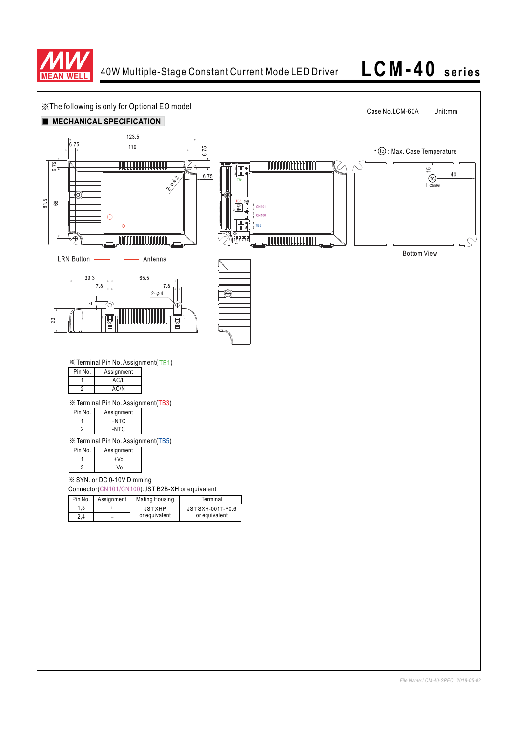

## **LCM-40 series**

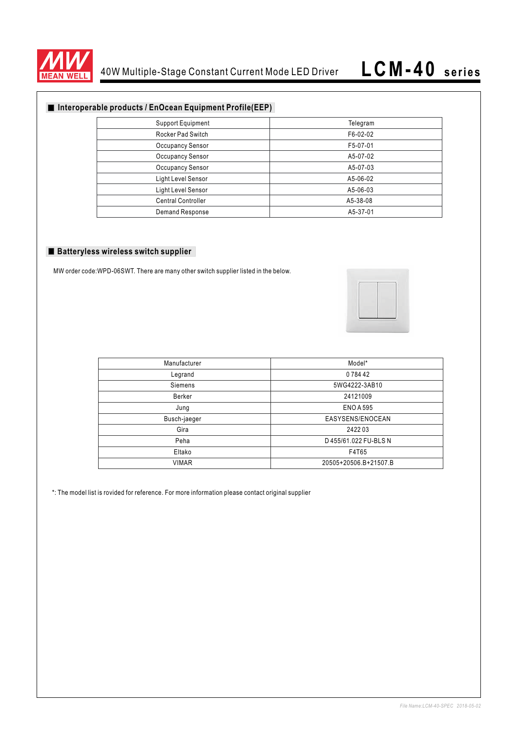

## **Interoperable products / EnOcean Equipment Profile(EEP)**

| <b>Support Equipment</b>  | Telegram |
|---------------------------|----------|
| <b>Rocker Pad Switch</b>  | F6-02-02 |
| Occupancy Sensor          | F5-07-01 |
| <b>Occupancy Sensor</b>   | A5-07-02 |
| <b>Occupancy Sensor</b>   | A5-07-03 |
| Light Level Sensor        | A5-06-02 |
| Light Level Sensor        | A5-06-03 |
| <b>Central Controller</b> | A5-38-08 |
| Demand Response           | A5-37-01 |

### **Batteryless wireless switch supplier**

MW order code:WPD-06SWT. There are many other switch supplier listed in the below.



| Manufacturer | Model*                |
|--------------|-----------------------|
| Legrand      | 078442                |
| Siemens      | 5WG4222-3AB10         |
| Berker       | 24121009              |
| Jung         | <b>ENO A 595</b>      |
| Busch-jaeger | EASYSENS/ENOCEAN      |
| Gira         | 242203                |
| Peha         | D 455/61.022 FU-BLS N |
| Eltako       | F4T65                 |
| <b>VIMAR</b> | 20505+20506.B+21507.B |

\*: The model list is rovided for reference. For more information please contact original supplier